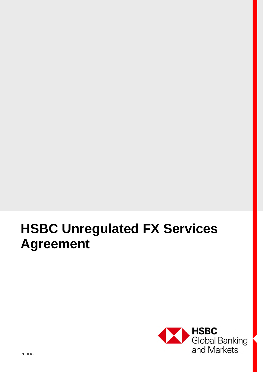# **HSBC Unregulated FX Services Agreement**

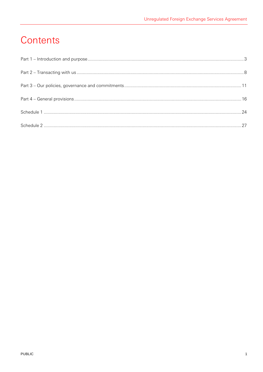# Contents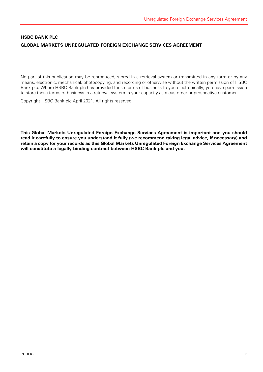# **HSBC BANK PLC GLOBAL MARKETS UNREGULATED FOREIGN EXCHANGE SERVICES AGREEMENT**

No part of this publication may be reproduced, stored in a retrieval system or transmitted in any form or by any means, electronic, mechanical, photocopying, and recording or otherwise without the written permission of HSBC Bank plc. Where HSBC Bank plc has provided these terms of business to you electronically, you have permission to store these terms of business in a retrieval system in your capacity as a customer or prospective customer.

Copyright HSBC Bank plc April 2021. All rights reserved

**This Global Markets Unregulated Foreign Exchange Services Agreement is important and you should read it carefully to ensure you understand it fully (we recommend taking legal advice, if necessary) and retain a copy for your records as this Global Markets Unregulated Foreign Exchange Services Agreement will constitute a legally binding contract between HSBC Bank plc and you.**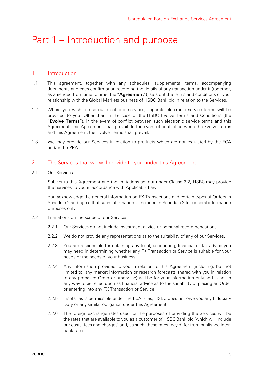# Part 1 – Introduction and purpose

#### 1. Introduction

- 1.1 This agreement, together with any schedules, supplemental terms, accompanying documents and each confirmation recording the details of any transaction under it (together, as amended from time to time, the "**Agreement**"), sets out the terms and conditions of your relationship with the Global Markets business of HSBC Bank plc in relation to the Services.
- 1.2 Where you wish to use our electronic services, separate electronic service terms will be provided to you. Other than in the case of the HSBC Evolve Terms and Conditions (the "**Evolve Terms**"), in the event of conflict between such electronic service terms and this Agreement, this Agreement shall prevail. In the event of conflict between the Evolve Terms and this Agreement, the Evolve Terms shall prevail.
- 1.3 We may provide our Services in relation to products which are not regulated by the FCA and/or the PRA.

#### 2. The Services that we will provide to you under this Agreement

2.1 Our Services:

Subject to this Agreement and the limitations set out under Clause 2.2, HSBC may provide the Services to you in accordance with Applicable Law.

You acknowledge the general information on FX Transactions and certain types of Orders in Schedule 2 and agree that such information is included in Schedule 2 for general information purposes only.

- 2.2 Limitations on the scope of our Services:
	- 2.2.1 Our Services do not include investment advice or personal recommendations.
	- 2.2.2 We do not provide any representations as to the suitability of any of our Services.
	- 2.2.3 You are responsible for obtaining any legal, accounting, financial or tax advice you may need in determining whether any FX Transaction or Service is suitable for your needs or the needs of your business.
	- 2.2.4 Any information provided to you in relation to this Agreement (including, but not limited to, any market information or research forecasts shared with you in relation to any proposed Order or otherwise) will be for your information only and is not in any way to be relied upon as financial advice as to the suitability of placing an Order or entering into any FX Transaction or Service.
	- 2.2.5 Insofar as is permissible under the FCA rules, HSBC does not owe you any Fiduciary Duty or any similar obligation under this Agreement.
	- 2.2.6 The foreign exchange rates used for the purposes of providing the Services will be the rates that are available to you as a customer of HSBC Bank plc (which will include our costs, fees and charges) and, as such, these rates may differ from published interbank rates.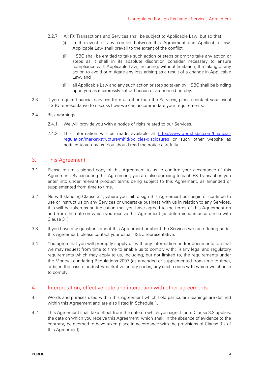- 2.2.7 All FX Transactions and Services shall be subject to Applicable Law, but so that:
	- (i) in the event of any conflict between this Agreement and Applicable Law, Applicable Law shall prevail to the extent of the conflict,
	- (ii) HSBC shall be entitled to take such action or steps or omit to take any action or steps as it shall in its absolute discretion consider necessary to ensure compliance with Applicable Law, including, without limitation, the taking of any action to avoid or mitigate any loss arising as a result of a change in Applicable Law, and
	- (iii) all Applicable Law and any such action or step so taken by HSBC shall be binding upon you as if expressly set out herein or authorised hereby.
- 2.3 If you require financial services from us other than the Services, please contact your usual HSBC representative to discuss how we can accommodate your requirements.
- 2.4 Risk warnings:
	- 2.4.1 We will provide you with a notice of risks related to our Services.
	- 2.4.2 This information will be made available at http://www.gbm.hsbc.com/financialregulation/market-structure/mifid/policies-disclosures or such other website as notified to you by us. You should read the notice carefully.

#### 3. This Agreement

- 3.1 Please return a signed copy of this Agreement to us to confirm your acceptance of this Agreement. By executing this Agreement, you are also agreeing to each FX Transaction you enter into under relevant product terms being subject to this Agreement, as amended or supplemented from time to time.
- 3.2 Notwithstanding Clause 3.1, where you fail to sign this Agreement but begin or continue to use or instruct us on any Services or undertake business with us in relation to any Services, this will be taken as an indication that you have agreed to the terms of this Agreement on and from the date on which you receive this Agreement (as determined in accordance with Clause 31).
- 3.3 If you have any questions about this Agreement or about the Services we are offering under this Agreement, please contact your usual HSBC representative.
- 3.4 You agree that you will promptly supply us with any information and/or documentation that we may request from time to time to enable us to comply with: (i) any legal and regulatory requirements which may apply to us, including, but not limited to, the requirements under the Money Laundering Regulations 2007 (as amended or supplemented from time to time), or (ii) in the case of industry/market voluntary codes, any such codes with which we choose to comply.

#### 4. Interpretation, effective date and interaction with other agreements

- 4.1 Words and phrases used within this Agreement which hold particular meanings are defined within this Agreement and are also listed in Schedule 1.
- 4.2 This Agreement shall take effect from the date on which you sign it (or, if Clause 3.2 applies, the date on which you receive this Agreement, which shall, in the absence of evidence to the contrary, be deemed to have taken place in accordance with the provisions of Clause 3.2 of this Agreement).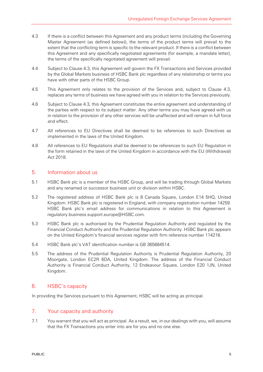- 4.3 If there is a conflict between this Agreement and any product terms (including the Governing Master Agreement (as defined below)), the terms of the product terms will prevail to the extent that the conflicting term is specific to the relevant product. If there is a conflict between this Agreement and any specifically negotiated agreements (for example, a mandate letter), the terms of the specifically negotiated agreement will prevail.
- 4.4 Subject to Clause 4.3, this Agreement will govern the FX Transactions and Services provided by the Global Markets business of HSBC Bank plc regardless of any relationship or terms you have with other parts of the HSBC Group.
- 4.5 This Agreement only relates to the provision of the Services and, subject to Clause 4.3, replaces any terms of business we have agreed with you in relation to the Services previously.
- 4.6 Subject to Clause 4.3, this Agreement constitutes the entire agreement and understanding of the parties with respect to its subject matter. Any other terms you may have agreed with us in relation to the provision of any other services will be unaffected and will remain in full force and effect.
- 4.7 All references to EU Directives shall be deemed to be references to such Directives as implemented in the laws of the United Kingdom.
- 4.8 All references to EU Regulations shall be deemed to be references to such EU Regulation in the form retained in the laws of the United Kingdom in accordance with the EU (Withdrawal) Act 2018.

#### 5. Information about us

- 5.1 HSBC Bank plc is a member of the HSBC Group, and will be trading through Global Markets and any renamed or successor business unit or division within HSBC.
- 5.2 The registered address of HSBC Bank plc is 8 Canada Square, London E14 5HQ, United Kingdom. HSBC Bank plc is registered in England, with company registration number 14259. HSBC Bank plc's email address for communications in relation to this Agreement is regulatory.business.support.europe@HSBC.com.
- 5.3 HSBC Bank plc is authorised by the Prudential Regulation Authority and regulated by the Financial Conduct Authority and the Prudential Regulation Authority. HSBC Bank plc appears on the United Kingdom's financial services register with firm reference number 114216.
- 5.4 HSBC Bank plc's VAT identification number is GB 365684514.
- 5.5 The address of the Prudential Regulation Authority is Prudential Regulation Authority, 20 Moorgate, London EC2R 6DA, United Kingdom. The address of the Financial Conduct Authority is Financial Conduct Authority, 12 Endeavour Square, London E20 1JN, United Kingdom.

# 6. HSBC's capacity

In providing the Services pursuant to this Agreement, HSBC will be acting as principal.

#### 7. Your capacity and authority

7.1 You warrant that you will act as principal. As a result, we, in our dealings with you, will assume that the FX Transactions you enter into are for you and no one else.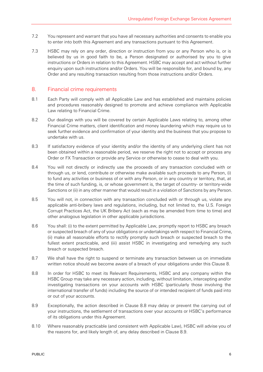- 7.2 You represent and warrant that you have all necessary authorities and consents to enable you to enter into both this Agreement and any transactions pursuant to this Agreement.
- 7.3 HSBC may rely on any order, direction or instruction from you or any Person who is, or is believed by us in good faith to be, a Person designated or authorised by you to give instructions or Orders in relation to this Agreement. HSBC may accept and act without further enquiry upon such instructions and/or Orders. You will be responsible for, and bound by, any Order and any resulting transaction resulting from those instructions and/or Orders.

#### 8. Financial crime requirements

- 8.1 Each Party will comply with all Applicable Law and has established and maintains policies and procedures reasonably designed to promote and achieve compliance with Applicable Law relating to Financial Crime.
- 8.2 Our dealings with you will be covered by certain Applicable Laws relating to, among other Financial Crime matters, client identification and money laundering which may require us to seek further evidence and confirmation of your identity and the business that you propose to undertake with us.
- 8.3 If satisfactory evidence of your identity and/or the identity of any underlying client has not been obtained within a reasonable period, we reserve the right not to accept or process any Order or FX Transaction or provide any Service or otherwise to cease to deal with you.
- 8.4 You will not directly or indirectly use the proceeds of any transaction concluded with or through us, or lend, contribute or otherwise make available such proceeds to any Person, (i) to fund any activities or business of or with any Person, or in any country or territory, that, at the time of such funding, is, or whose government is, the target of country- or territory-wide Sanctions or (ii) in any other manner that would result in a violation of Sanctions by any Person.
- 8.5 You will not, in connection with any transaction concluded with or through us, violate any applicable anti-bribery laws and regulations, including, but not limited to, the U.S. Foreign Corrupt Practices Act, the UK Bribery Act (each as may be amended from time to time) and other analogous legislation in other applicable jurisdictions.
- 8.6 You shall: (i) to the extent permitted by Applicable Law, promptly report to HSBC any breach or suspected breach of any of your obligations or undertakings with respect to Financial Crime, (ii) make all reasonable efforts to rectify promptly such breach or suspected breach to the fullest extent practicable, and (iii) assist HSBC in investigating and remedying any such breach or suspected breach.
- 8.7 We shall have the right to suspend or terminate any transaction between us on immediate written notice should we become aware of a breach of your obligations under this Clause 8.
- 8.8 In order for HSBC to meet its Relevant Requirements, HSBC and any company within the HSBC Group may take any necessary action, including, without limitation, intercepting and/or investigating transactions on your accounts with HSBC (particularly those involving the international transfer of funds) including the source of or intended recipient of funds paid into or out of your accounts.
- 8.9 Exceptionally, the action described in Clause 8.8 may delay or prevent the carrying out of your instructions, the settlement of transactions over your accounts or HSBC's performance of its obligations under this Agreement.
- 8.10 Where reasonably practicable (and consistent with Applicable Law), HSBC will advise you of the reasons for, and likely length of, any delay described in Clause 8.9.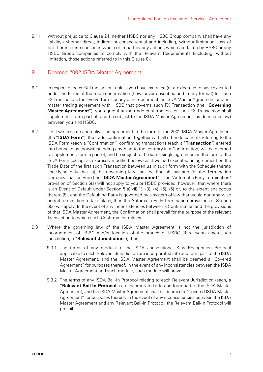8.11 Without prejudice to Clause 24, neither HSBC nor any HSBC Group company shall have any liability (whether direct, indirect or consequential and including, without limitation, loss of profit or interest) caused in whole or in part by any actions which are taken by HSBC or any HSBC Group companies to comply with the Relevant Requirements (including, without limitation, those actions referred to in this Clause 8).

# 9. Deemed 2002 ISDA Master Agreement

- 9.1 In respect of each FX Transaction, unless you have executed (or are deemed to have executed under the terms of the trade confirmation (howsoever described and in any format) for such FX Transaction, the Evolve Terms or any other document) an ISDA Master Agreement or other master trading agreement with HSBC that governs such FX Transaction (the "**Governing Master Agreement**"), you agree that the trade confirmation for such FX Transaction shall supplement, form part of, and be subject to the ISDA Master Agreement (as defined below) between you and HSBC.
- 9.2 Until we execute and deliver an agreement in the form of the 2002 ISDA Master Agreement (the "**ISDA Form**"), the trade confirmation, together with all other documents referring to the ISDA Form (each a "Confirmation") confirming transactions (each a "**Transaction**") entered into between us (notwithstanding anything to the contrary in a Confirmation) will be deemed to supplement, form a part of, and be subject to the same single agreement in the form of the ISDA Form (except as expressly modified below) as if we had executed an agreement on the Trade Date of the first such Transaction between us in such form with the Schedule thereto specifying only that (a) the governing law shall be English law and (b) the Termination Currency shall be Euro (the "**ISDA Master Agreement**"). The "Automatic Early Termination" provision of Section 6(a) will not apply to you or HSBC provided, however, that where there is an Event of Default under Section 5(a)(vii)(1), (3), (4), (5), (6) or, to the extent analogous thereto (8), and the Defaulting Party is governed by a system of law that would not otherwise permit termination to take place, then the Automatic Early Termination provisions of Section 6(a) will apply. In the event of any inconsistencies between a Confirmation and the provisions of that ISDA Master Agreement, the Confirmation shall prevail for the purpose of the relevant Transaction to which such Confirmation relates.
- 9.3 Where the governing law of the ISDA Master Agreement is not the jurisdiction of incorporation of HSBC and/or location of the branch of HSBC (if relevant) (each such jurisdiction, a "**Relevant Jurisdiction**"), then:
	- 9.3.1 The terms of any module to the ISDA Jurisdictional Stay Recognition Protocol applicable to each Relevant Jurisdiction are incorporated into and form part of the ISDA Master Agreement, and the ISDA Master Agreement shall be deemed a "Covered Agreement" for purposes thereof. In the event of any inconsistencies between the ISDA Master Agreement and such module, such module will prevail.
	- 9.3.2 The terms of any ISDA Bail-In Protocol relating to each Relevant Jurisdiction (each, a "**Relevant Bail-In Protocol**") are incorporated into and form part of the ISDA Master Agreement, and the ISDA Master Agreement shall be deemed a "Covered ISDA Master Agreement" for purposes thereof. In the event of any inconsistencies between the ISDA Master Agreement and any Relevant Bail-In Protocol, the Relevant Bail-In Protocol will prevail.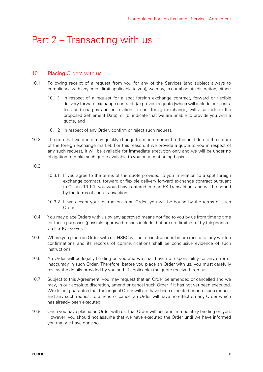# Part 2 – Transacting with us

#### 10. Placing Orders with us

- 10.1 Following receipt of a request from you for any of the Services (and subject always to compliance with any credit limit applicable to you), we may, in our absolute discretion, either:
	- 10.1.1 in respect of a request for a spot foreign exchange contract, forward or flexible delivery forward exchange contract: (a) provide a quote (which will include our costs, fees and charges and, in relation to spot foreign exchange, will also include the proposed Settlement Date), or (b) indicate that we are unable to provide you with a quote, and
	- 10.1.2 in respect of any Order, confirm or reject such request.
- 10.2 The rate that we quote may quickly change from one moment to the next due to the nature of the foreign exchange market. For this reason, if we provide a quote to you in respect of any such request, it will be available for immediate execution only and we will be under no obligation to make such quote available to you on a continuing basis.

#### 10.3

- 10.3.1 If you agree to the terms of the quote provided to you in relation to a spot foreign exchange contract, forward or flexible delivery forward exchange contract pursuant to Clause 10.1.1, you would have entered into an FX Transaction, and will be bound by the terms of such transaction.
- 10.3.2 If we accept your instruction in an Order, you will be bound by the terms of such Order.
- 10.4 You may place Orders with us by any approved means notified to you by us from time to time for these purposes (possible approved means include, but are not limited to, by telephone or via HSBC Evolve).
- 10.5 Where you place an Order with us, HSBC will act on instructions before receipt of any written confirmations and its records of communications shall be conclusive evidence of such instructions.
- 10.6 An Order will be legally binding on you and we shall have no responsibility for any error or inaccuracy in such Order. Therefore, before you place an Order with us, you must carefully review the details provided by you and (if applicable) the quote received from us.
- 10.7 Subject to this Agreement, you may request that an Order be amended or cancelled and we may, in our absolute discretion, amend or cancel such Order if it has not yet been executed. We do not guarantee that the original Order will not have been executed prior to such request and any such request to amend or cancel an Order will have no effect on any Order which has already been executed.
- 10.8 Once you have placed an Order with us, that Order will become immediately binding on you. However, you should not assume that we have executed the Order until we have informed you that we have done so.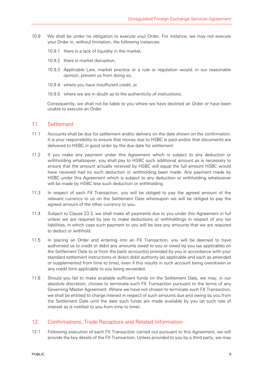- 10.9 We shall be under no obligation to execute your Order. For instance, we may not execute your Order in, without limitation, the following instances:
	- 10.9.1 there is a lack of liquidity in the market,
	- 10.9.2 there is market disruption,
	- 10.9.3 Applicable Law, market practice or a rule or regulation would, in our reasonable opinion, prevent us from doing so,
	- 10.9.4 where you have insufficient credit, or
	- 10.9.5 where we are in doubt as to the authenticity of instructions.

Consequently, we shall not be liable to you where we have declined an Order or have been unable to execute an Order.

#### 11 Settlement

- 11.1 Accounts shall be due for settlement and/or delivery on the date shown on the confirmation. It is your responsibility to ensure that money due to HSBC is paid and/or that documents are delivered to HSBC in good order by the due date for settlement.
- 11.2 If you make any payment under this Agreement which is subject to any deduction or withholding whatsoever, you shall pay to HSBC such additional amount as is necessary to ensure that the amount actually received by HSBC will equal the full amount HSBC would have received had no such deduction or withholding been made. Any payment made by HSBC under this Agreement which is subject to any deduction or withholding whatsoever will be made by HSBC less such deduction or withholding.
- 11.3 In respect of each FX Transaction, you will be obliged to pay the agreed amount of the relevant currency to us on the Settlement Date whereupon we will be obliged to pay the agreed amount of the other currency to you.
- 11.4 Subject to Clause 23.3, we shall make all payments due to you under this Agreement in full unless we are required by law to make deductions or withholdings in respect of any tax liabilities, in which case such payment to you will be less any amounts that we are required to deduct or withhold.
- 11.5 In placing an Order and entering into an FX Transaction, you will be deemed to have authorised us to credit or debit any amounts owed to you or owed by you (as applicable) on the Settlement Date to or from the bank account(s) provided by you in accordance with your standard settlement instructions or direct debit authority (as applicable and each as amended or supplemented from time to time), even if this results in such account being overdrawn or any credit limit applicable to you being exceeded.
- 11.6 Should you fail to make available sufficient funds on the Settlement Date, we may, in our absolute discretion, choose to terminate such FX Transaction pursuant to the terms of any Governing Master Agreement. Where we have not chosen to terminate such FX Transaction, we shall be entitled to charge interest in respect of such amounts due and owing by you from the Settlement Date until the date such funds are made available by you (at such rate of interest as is notified to you from time to time).

# 12. Confirmations, Trade Recapture and Related Information

12.1 Following execution of each FX Transaction carried out pursuant to this Agreement, we will provide the key details of the FX Transaction. Unless provided to you by a third party, we may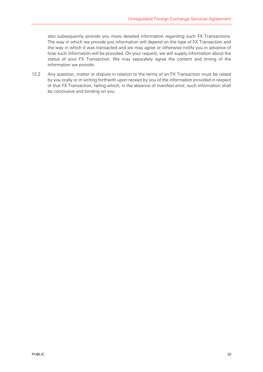also subsequently provide you more detailed information regarding such FX Transactions. The way in which we provide you information will depend on the type of FX Transaction and the way in which it was transacted and we may agree or otherwise notify you in advance of how such information will be provided. On your request, we will supply information about the status of your FX Transaction. We may separately agree the content and timing of the information we provide.

12.2 Any question, matter or dispute in relation to the terms of an FX Transaction must be raised by you orally or in writing forthwith upon receipt by you of the information provided in respect of that FX Transaction, failing which, in the absence of manifest error, such information shall be conclusive and binding on you.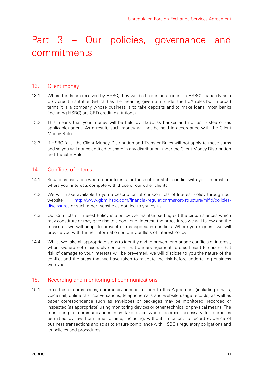# Part 3 – Our policies, governance and commitments

#### 13. Client money

- 13.1 Where funds are received by HSBC, they will be held in an account in HSBC's capacity as a CRD credit institution (which has the meaning given to it under the FCA rules but in broad terms it is a company whose business is to take deposits and to make loans, most banks (including HSBC) are CRD credit institutions).
- 13.2 This means that your money will be held by HSBC as banker and not as trustee or (as applicable) agent. As a result, such money will not be held in accordance with the Client Money Rules.
- 13.3 If HSBC fails, the Client Money Distribution and Transfer Rules will not apply to these sums and so you will not be entitled to share in any distribution under the Client Money Distribution and Transfer Rules.

#### 14 Conflicts of interest

- 14.1 Situations can arise where our interests, or those of our staff, conflict with your interests or where your interests compete with those of our other clients.
- 14.2 We will make available to you a description of our Conflicts of Interest Policy through our website http://www.gbm.hsbc.com/financial-regulation/market-structure/mifid/policiesdisclosures or such other website as notified to you by us.
- 14.3 Our Conflicts of Interest Policy is a policy we maintain setting out the circumstances which may constitute or may give rise to a conflict of interest, the procedures we will follow and the measures we will adopt to prevent or manage such conflicts. Where you request, we will provide you with further information on our Conflicts of Interest Policy.
- 14.4 Whilst we take all appropriate steps to identify and to prevent or manage conflicts of interest, where we are not reasonably confident that our arrangements are sufficient to ensure that risk of damage to your interests will be prevented, we will disclose to you the nature of the conflict and the steps that we have taken to mitigate the risk before undertaking business with you.

# 15. Recording and monitoring of communications

15.1 In certain circumstances, communications in relation to this Agreement (including emails, voicemail, online chat conversations, telephone calls and website usage records) as well as paper correspondence such as envelopes or packages may be monitored, recorded or inspected (as appropriate) using monitoring devices or other technical or physical means. The monitoring of communications may take place where deemed necessary for purposes permitted by law from time to time, including, without limitation, to record evidence of business transactions and so as to ensure compliance with HSBC's regulatory obligations and its policies and procedures.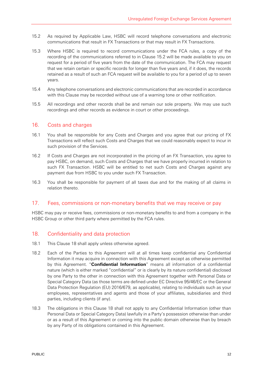- 15.2 As required by Applicable Law, HSBC will record telephone conversations and electronic communications that result in FX Transactions or that may result in FX Transactions.
- 15.3 Where HSBC is required to record communications under the FCA rules, a copy of the recording of the communications referred to in Clause 15.2 will be made available to you on request for a period of five years from the date of the communication. The FCA may request that we retain certain or specific records for longer than five years and, if it does, the records retained as a result of such an FCA request will be available to you for a period of up to seven years.
- 15.4 Any telephone conversations and electronic communications that are recorded in accordance with this Clause may be recorded without use of a warning tone or other notification.
- 15.5 All recordings and other records shall be and remain our sole property. We may use such recordings and other records as evidence in court or other proceedings.

#### 16. Costs and charges

- 16.1 You shall be responsible for any Costs and Charges and you agree that our pricing of FX Transactions will reflect such Costs and Charges that we could reasonably expect to incur in such provision of the Services.
- 16.2 If Costs and Charges are not incorporated in the pricing of an FX Transaction, you agree to pay HSBC, on demand, such Costs and Charges that we have properly incurred in relation to such FX Transaction. HSBC will be entitled to net such Costs and Charges against any payment due from HSBC to you under such FX Transaction.
- 16.3 You shall be responsible for payment of all taxes due and for the making of all claims in relation thereto.

#### 17. Fees, commissions or non-monetary benefits that we may receive or pay

HSBC may pay or receive fees, commissions or non-monetary benefits to and from a company in the HSBC Group or other third party where permitted by the FCA rules.

# 18. Confidentiality and data protection

- 18.1 This Clause 18 shall apply unless otherwise agreed.
- 18.2 Each of the Parties to this Agreement will at all times keep confidential any Confidential Information it may acquire in connection with this Agreement except as otherwise permitted by this Agreement. "**Confidential Information**" means all information of a confidential nature (which is either marked "confidential" or is clearly by its nature confidential) disclosed by one Party to the other in connection with this Agreement together with Personal Data or Special Category Data (as those terms are defined under EC Directive 95/46/EC or the General Data Protection Regulation (EU) 2016/679, as applicable), relating to individuals such as your employees, representatives and agents and those of your affiliates, subsidiaries and third parties, including clients (if any).
- 18.3 The obligations in this Clause 18 shall not apply to any Confidential Information (other than Personal Data or Special Category Data) lawfully in a Party's possession otherwise than under or as a result of this Agreement or coming into the public domain otherwise than by breach by any Party of its obligations contained in this Agreement.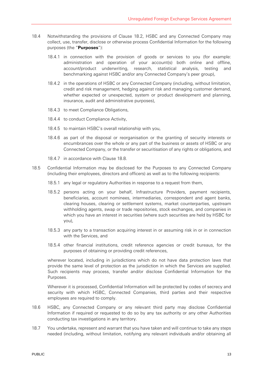- 18.4 Notwithstanding the provisions of Clause 18.2, HSBC and any Connected Company may collect, use, transfer, disclose or otherwise process Confidential Information for the following purposes (the "**Purposes**"):
	- 18.4.1 in connection with the provision of goods or services to you (for example: administration and operation of your account(s) both online and offline, account/product underwriting, research, statistical analysis, testing and benchmarking against HSBC and/or any Connected Company's peer group),
	- 18.4.2 in the operations of HSBC or any Connected Company (including, without limitation, credit and risk management, hedging against risk and managing customer demand, whether expected or unexpected, system or product development and planning, insurance, audit and administrative purposes),
	- 18.4.3 to meet Compliance Obligations,
	- 18.4.4 to conduct Compliance Activity,
	- 18.4.5 to maintain HSBC's overall relationship with you,
	- 18.4.6 as part of the disposal or reorganisation or the granting of security interests or encumbrances over the whole or any part of the business or assets of HSBC or any Connected Company, or the transfer or securitisation of any rights or obligations, and
	- 18.4.7 in accordance with Clause 18.8.
- 18.5 Confidential Information may be disclosed for the Purposes to any Connected Company (including their employees, directors and officers) as well as to the following recipients:
	- 18.5.1 any legal or regulatory Authorities in response to a request from them,
	- 18.5.2 persons acting on your behalf, Infrastructure Providers, payment recipients, beneficiaries, account nominees, intermediaries, correspondent and agent banks, clearing houses, clearing or settlement systems, market counterparties, upstream withholding agents, swap or trade repositories, stock exchanges, and companies in which you have an interest in securities (where such securities are held by HSBC for you),
	- 18.5.3 any party to a transaction acquiring interest in or assuming risk in or in connection with the Services, and
	- 18.5.4 other financial institutions, credit reference agencies or credit bureaus, for the purposes of obtaining or providing credit references,

wherever located, including in jurisdictions which do not have data protection laws that provide the same level of protection as the jurisdiction in which the Services are supplied. Such recipients may process, transfer and/or disclose Confidential Information for the Purposes.

Wherever it is processed, Confidential Information will be protected by codes of secrecy and security with which HSBC, Connected Companies, third parties and their respective employees are required to comply.

- 18.6 HSBC, any Connected Company or any relevant third party may disclose Confidential Information if required or requested to do so by any tax authority or any other Authorities conducting tax investigations in any territory.
- 18.7 You undertake, represent and warrant that you have taken and will continue to take any steps needed (including, without limitation, notifying any relevant individuals and/or obtaining all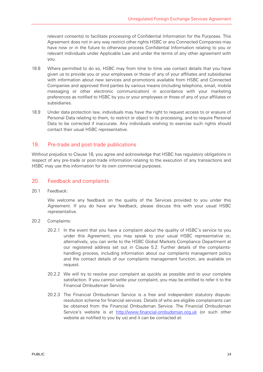relevant consents) to facilitate processing of Confidential Information for the Purposes. This Agreement does not in any way restrict other rights HSBC or any Connected Companies may have now or in the future to otherwise process Confidential Information relating to you or relevant individuals under Applicable Law and under the terms of any other agreement with you.

- 18.8 Where permitted to do so, HSBC may from time to time use contact details that you have given us to provide you or your employees or those of any of your affiliates and subsidiaries with information about new services and promotions available from HSBC and Connected Companies and approved third parties by various means (including telephone, email, mobile messaging or other electronic communication) in accordance with your marketing preferences as notified to HSBC by you or your employees or those of any of your affiliates or subsidiaries.
- 18.9 Under data protection law, individuals may have the right to request access to or erasure of Personal Data relating to them, to restrict or object to its processing, and to require Personal Data to be corrected if inaccurate. Any individuals wishing to exercise such rights should contact their usual HSBC representative.

#### 19. Pre-trade and post-trade publications

Without prejudice to Clause 18, you agree and acknowledge that HSBC has regulatory obligations in respect of any pre-trade or post-trade information relating to the execution of any transactions and HSBC may use this information for its own commercial purposes.

#### 20. Feedback and complaints

20.1 Feedback:

We welcome any feedback on the quality of the Services provided to you under this Agreement. If you do have any feedback, please discuss this with your usual HSBC representative.

- 20.2 Complaints:
	- 20.2.1 In the event that you have a complaint about the quality of HSBC's service to you under this Agreement, you may speak to your usual HSBC representative or, alternatively, you can write to the HSBC Global Markets Compliance Department at our registered address set out in Clause 5.2. Further details of the complaintshandling process, including information about our complaints management policy and the contact details of our complaints management function, are available on request.
	- 20.2.2 We will try to resolve your complaint as quickly as possible and to your complete satisfaction. If you cannot settle your complaint, you may be entitled to refer it to the Financial Ombudsman Service.
	- 20.2.3 The Financial Ombudsman Service is a free and independent statutory disputeresolution scheme for financial services. Details of who are eligible complainants can be obtained from the Financial Ombudsman Service. The Financial Ombudsman Service's website is at http://www.financial-ombudsman.org.uk (or such other website as notified to you by us) and it can be contacted at: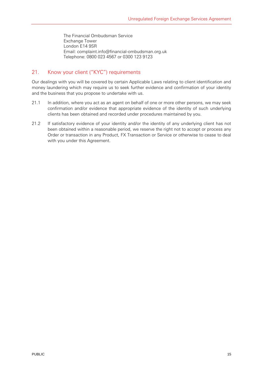The Financial Ombudsman Service Exchange Tower London E14 9SR Email: complaint.info@financial-ombudsman.org.uk Telephone: 0800 023 4567 or 0300 123 9123

# 21. Know your client ("KYC") requirements

Our dealings with you will be covered by certain Applicable Laws relating to client identification and money laundering which may require us to seek further evidence and confirmation of your identity and the business that you propose to undertake with us.

- 21.1 In addition, where you act as an agent on behalf of one or more other persons, we may seek confirmation and/or evidence that appropriate evidence of the identity of such underlying clients has been obtained and recorded under procedures maintained by you.
- 21.2 If satisfactory evidence of your identity and/or the identity of any underlying client has not been obtained within a reasonable period, we reserve the right not to accept or process any Order or transaction in any Product, FX Transaction or Service or otherwise to cease to deal with you under this Agreement.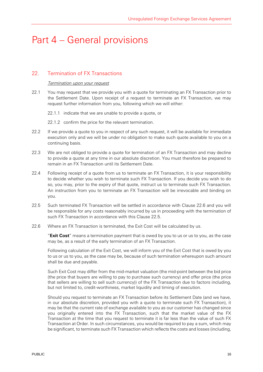# Part 4 – General provisions

# 22. Termination of FX Transactions

#### Termination upon your request

- 22.1 You may request that we provide you with a quote for terminating an FX Transaction prior to the Settlement Date. Upon receipt of a request to terminate an FX Transaction, we may request further information from you, following which we will either:
	- 22.1.1 indicate that we are unable to provide a quote, or
	- 22.1.2 confirm the price for the relevant termination.
- 22.2 If we provide a quote to you in respect of any such request, it will be available for immediate execution only and we will be under no obligation to make such quote available to you on a continuing basis.
- 22.3 We are not obliged to provide a quote for termination of an FX Transaction and may decline to provide a quote at any time in our absolute discretion. You must therefore be prepared to remain in an FX Transaction until its Settlement Date.
- 22.4 Following receipt of a quote from us to terminate an FX Transaction, it is your responsibility to decide whether you wish to terminate such FX Transaction. If you decide you wish to do so, you may, prior to the expiry of that quote, instruct us to terminate such FX Transaction. An instruction from you to terminate an FX Transaction will be irrevocable and binding on you.
- 22.5 Such terminated FX Transaction will be settled in accordance with Clause 22.6 and you will be responsible for any costs reasonably incurred by us in proceeding with the termination of such FX Transaction in accordance with this Clause 22.5.
- 22.6 Where an FX Transaction is terminated, the Exit Cost will be calculated by us.

"**Exit Cost**" means a termination payment that is owed by you to us or us to you, as the case may be, as a result of the early termination of an FX Transaction.

Following calculation of the Exit Cost, we will inform you of the Exit Cost that is owed by you to us or us to you, as the case may be, because of such termination whereupon such amount shall be due and payable.

Such Exit Cost may differ from the mid-market valuation (the mid-point between the bid price (the price that buyers are willing to pay to purchase such currency) and offer price (the price that sellers are willing to sell such currency)) of the FX Transaction due to factors including, but not limited to, credit-worthiness, market liquidity and timing of execution.

Should you request to terminate an FX Transaction before its Settlement Date (and we have, in our absolute discretion, provided you with a quote to terminate such FX Transaction), it may be that the current rate of exchange available to you as our customer has changed since you originally entered into the FX Transaction, such that the market value of the FX Transaction at the time that you request to terminate it is far less than the value of such FX Transaction at Order. In such circumstances, you would be required to pay a sum, which may be significant, to terminate such FX Transaction which reflects the costs and losses (including,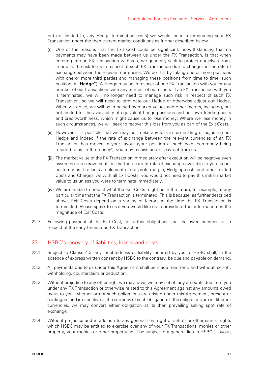but not limited to, any Hedge termination costs) we would incur in terminating your FX Transaction under the then current market conditions as further described below.

- One of the reasons that the Exit Cost could be significant, notwithstanding that no payments may have been made between us under the FX Transaction, is that when entering into an FX Transaction with you, we generally seek to protect ourselves from, inter alia, the risk to us in respect of such FX Transaction due to changes in the rate of exchange between the relevant currencies. We do this by taking one or more positions with one or more third parties and managing these positions from time to time (such position, a "**Hedge**"). A Hedge may be in respect of one FX Transaction with you or any number of our transactions with any number of our clients. If an FX Transaction with you is terminated, we will no longer need to manage such risk in respect of such FX Transaction, so we will need to terminate our Hedge or otherwise adjust our Hedge. When we do so, we will be impacted by market values and other factors, including, but not limited to, the availability of equivalent hedge positions and our own funding costs and creditworthiness, which might cause us to lose money. Where we lose money in such circumstances, we will seek to recover this loss from you as part of the Exit Costs.
- (ii) However, it is possible that we may not make any loss in terminating or adjusting our Hedge and indeed if the rate of exchange between the relevant currencies of an FX Transaction has moved in your favour (your position at such point commonly being referred to as 'in-the-money'), you may receive an exit pay-out from us.
- (iii) The market value of the FX Transaction immediately after execution will be negative even assuming zero movements in the then current rate of exchange available to you as our customer as it reflects an element of our profit margin, Hedging costs and other related Costs and Charges. As with all Exit Costs, you would not need to pay this initial market value to us unless you were to terminate immediately.
- We are unable to predict what the Exit Costs might be in the future, for example, at any particular time that the FX Transaction is terminated. This is because, as further described above, Exit Costs depend on a variety of factors at the time the FX Transaction is terminated. Please speak to us if you would like us to provide further information on the magnitude of Exit Costs.
- 22.7 Following payment of the Exit Cost, no further obligations shall be owed between us in respect of the early terminated FX Transaction.

#### 23. HSBC's recovery of liabilities, losses and costs

- 23.1 Subject to Clause 4.3, any indebtedness or liability incurred by you to HSBC shall, in the absence of express written consent by HSBC to the contrary, be due and payable on demand.
- 23.2 All payments due to us under this Agreement shall be made free from, and without, set-off, withholding, counterclaim or deduction.
- 23.3 Without prejudice to any other right we may have, we may set off any amounts due from you under any FX Transaction or otherwise related to this Agreement against any amounts owed by us to you, whether or not such obligations are arising under this Agreement, present or contingent and irrespective of the currency of such obligation. If the obligations are in different currencies, we may convert either obligation at its then prevailing selling spot rate of exchange.
- 23.4 Without prejudice and in addition to any general lien, right of set-off or other similar rights which HSBC may be entitled to exercise over any of your FX Transactions, monies or other property, your monies or other property shall be subject to a general lien in HSBC's favour,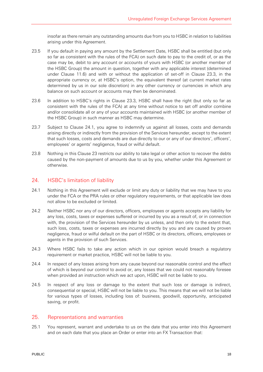insofar as there remain any outstanding amounts due from you to HSBC in relation to liabilities arising under this Agreement.

- 23.5 If you default in paying any amount by the Settlement Date, HSBC shall be entitled (but only so far as consistent with the rules of the FCA) on such date to pay to the credit of, or as the case may be, debit to any account or accounts of yours with HSBC (or another member of the HSBC Group) the amount in question, together with any applicable interest (determined under Clause 11.6) and with or without the application of set-off in Clause 23.3, in the appropriate currency or, at HSBC's option, the equivalent thereof (at current market rates determined by us in our sole discretion) in any other currency or currencies in which any balance on such account or accounts may then be denominated.
- 23.6 In addition to HSBC's rights in Clause 23.3, HSBC shall have the right (but only so far as consistent with the rules of the FCA) at any time without notice to set off and/or combine and/or consolidate all or any of your accounts maintained with HSBC (or another member of the HSBC Group) in such manner as HSBC may determine.
- 23.7 Subject to Clause 24.1, you agree to indemnify us against all losses, costs and demands arising directly or indirectly from the provision of the Services hereunder, except to the extent that such losses, costs and demands are due directly to our or any of our directors', officers', employees' or agents' negligence, fraud or wilful default.
- 23.8 Nothing in this Clause 23 restricts our ability to take legal or other action to recover the debts caused by the non-payment of amounts due to us by you, whether under this Agreement or otherwise.

#### 24. HSBC's limitation of liability

- 24.1 Nothing in this Agreement will exclude or limit any duty or liability that we may have to you under the FCA or the PRA rules or other regulatory requirements, or that applicable law does not allow to be excluded or limited.
- 24.2 Neither HSBC nor any of our directors, officers, employees or agents accepts any liability for any loss, costs, taxes or expenses suffered or incurred by you as a result of, or in connection with, the provision of the Services hereunder by us unless, and then only to the extent that, such loss, costs, taxes or expenses are incurred directly by you and are caused by proven negligence, fraud or wilful default on the part of HSBC or its directors, officers, employees or agents in the provision of such Services.
- 24.3 Where HSBC fails to take any action which in our opinion would breach a regulatory requirement or market practice, HSBC will not be liable to you.
- 24.4 In respect of any losses arising from any cause beyond our reasonable control and the effect of which is beyond our control to avoid or, any losses that we could not reasonably foresee when provided an instruction which we act upon, HSBC will not be liable to you.
- 24.5 In respect of any loss or damage to the extent that such loss or damage is indirect, consequential or special, HSBC will not be liable to you. This means that we will not be liable for various types of losses, including loss of: business, goodwill, opportunity, anticipated saving, or profit.

#### 25. Representations and warranties

25.1 You represent, warrant and undertake to us on the date that you enter into this Agreement and on each date that you place an Order or enter into an FX Transaction that: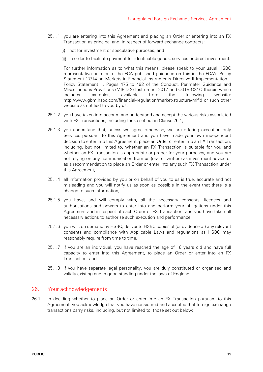- 25.1.1 you are entering into this Agreement and placing an Order or entering into an FX Transaction as principal and, in respect of forward exchange contracts:
	- (i) not for investment or speculative purposes, and
	- in order to facilitate payment for identifiable goods, services or direct investment.

For further information as to what this means, please speak to your usual HSBC representative or refer to the FCA published guidance on this in the FCA's Policy Statement 17/14 on Markets in Financial Instruments Directive II Implementation – Policy Statement II, Pages 475 to 492 of the Conduct, Perimeter Guidance and Miscellaneous Provisions (MIFID 2) Instrument 2017 and Q31B-Q31O therein which includes examples, available from the following website: http://www.gbm.hsbc.com/financial-regulation/market-structure/mifid or such other website as notified to you by us.

- 25.1.2 you have taken into account and understand and accept the various risks associated with FX Transactions, including those set out in Clause 26.1,
- 25.1.3 you understand that, unless we agree otherwise, we are offering execution only Services pursuant to this Agreement and you have made your own independent decision to enter into this Agreement, place an Order or enter into an FX Transaction, including, but not limited to, whether an FX Transaction is suitable for you and whether an FX Transaction is appropriate or proper for your purposes, and you are not relying on any communication from us (oral or written) as investment advice or as a recommendation to place an Order or enter into any such FX Transaction under this Agreement,
- 25.1.4 all information provided by you or on behalf of you to us is true, accurate and not misleading and you will notify us as soon as possible in the event that there is a change to such information,
- 25.1.5 you have, and will comply with, all the necessary consents, licences and authorisations and powers to enter into and perform your obligations under this Agreement and in respect of each Order or FX Transaction, and you have taken all necessary actions to authorise such execution and performance,
- 25.1.6 you will, on demand by HSBC, deliver to HSBC copies of (or evidence of) any relevant consents and compliance with Applicable Laws and regulations as HSBC may reasonably require from time to time,
- 25.1.7 if you are an individual, you have reached the age of 18 years old and have full capacity to enter into this Agreement, to place an Order or enter into an FX Transaction, and
- 25.1.8 if you have separate legal personality, you are duly constituted or organised and validly existing and in good standing under the laws of England.

#### 26. Your acknowledgements

26.1 In deciding whether to place an Order or enter into an FX Transaction pursuant to this Agreement, you acknowledge that you have considered and accepted that foreign exchange transactions carry risks, including, but not limited to, those set out below: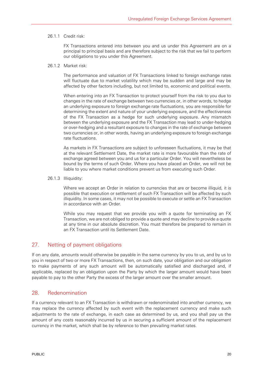#### 26.1.1 Credit risk:

FX Transactions entered into between you and us under this Agreement are on a principal to principal basis and are therefore subject to the risk that we fail to perform our obligations to you under this Agreement.

#### 26.1.2 Market risk:

The performance and valuation of FX Transactions linked to foreign exchange rates will fluctuate due to market volatility which may be sudden and large and may be affected by other factors including, but not limited to, economic and political events.

When entering into an FX Transaction to protect yourself from the risk to you due to changes in the rate of exchange between two currencies or, in other words, to hedge an underlying exposure to foreign exchange rate fluctuations, you are responsible for determining the extent and nature of your underlying exposure, and the effectiveness of the FX Transaction as a hedge for such underlying exposure. Any mismatch between the underlying exposure and the FX Transaction may lead to under-hedging or over-hedging and a resultant exposure to changes in the rate of exchange between two currencies or, in other words, having an underlying exposure to foreign exchange rate fluctuations.

As markets in FX Transactions are subject to unforeseen fluctuations, it may be that at the relevant Settlement Date, the market rate is more favourable than the rate of exchange agreed between you and us for a particular Order. You will nevertheless be bound by the terms of such Order. Where you have placed an Order, we will not be liable to you where market conditions prevent us from executing such Order.

26.1.3 Illiquidity:

Where we accept an Order in relation to currencies that are or become illiquid, it is possible that execution or settlement of such FX Transaction will be affected by such illiquidity. In some cases, it may not be possible to execute or settle an FX Transaction in accordance with an Order.

While you may request that we provide you with a quote for terminating an FX Transaction, we are not obliged to provide a quote and may decline to provide a quote at any time in our absolute discretion. You must therefore be prepared to remain in an FX Transaction until its Settlement Date.

# 27. Netting of payment obligations

If on any date, amounts would otherwise be payable in the same currency by you to us, and by us to you in respect of two or more FX Transactions, then, on such date, your obligation and our obligation to make payments of any such amount will be automatically satisfied and discharged and, if applicable, replaced by an obligation upon the Party by which the larger amount would have been payable to pay to the other Party the excess of the larger amount over the smaller amount.

#### 28. Redenomination

If a currency relevant to an FX Transaction is withdrawn or redenominated into another currency, we may replace the currency affected by such event with the replacement currency and make such adjustments to the rate of exchange, in each case as determined by us, and you shall pay us the amount of any costs reasonably incurred by us in securing a sufficient amount of the replacement currency in the market, which shall be by reference to then prevailing market rates.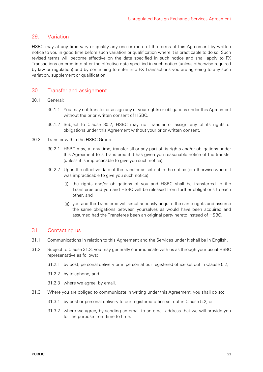#### 29. Variation

HSBC may at any time vary or qualify any one or more of the terms of this Agreement by written notice to you in good time before such variation or qualification where it is practicable to do so. Such revised terms will become effective on the date specified in such notice and shall apply to FX Transactions entered into after the effective date specified in such notice (unless otherwise required by law or regulation) and by continuing to enter into FX Transactions you are agreeing to any such variation, supplement or qualification.

#### 30. Transfer and assignment

#### 30.1 General:

- 30.1.1 You may not transfer or assign any of your rights or obligations under this Agreement without the prior written consent of HSBC.
- 30.1.2 Subject to Clause 30.2, HSBC may not transfer or assign any of its rights or obligations under this Agreement without your prior written consent.
- 30.2 Transfer within the HSBC Group:
	- 30.2.1 HSBC may, at any time, transfer all or any part of its rights and/or obligations under this Agreement to a Transferee if it has given you reasonable notice of the transfer (unless it is impracticable to give you such notice).
	- 30.2.2 Upon the effective date of the transfer as set out in the notice (or otherwise where it was impracticable to give you such notice):
		- (i) the rights and/or obligations of you and HSBC shall be transferred to the Transferee and you and HSBC will be released from further obligations to each other, and
		- (ii) you and the Transferee will simultaneously acquire the same rights and assume the same obligations between yourselves as would have been acquired and assumed had the Transferee been an original party hereto instead of HSBC.

#### 31. Contacting us

- 31.1 Communications in relation to this Agreement and the Services under it shall be in English.
- 31.2 Subject to Clause 31.3, you may generally communicate with us as through your usual HSBC representative as follows:
	- 31.2.1 by post, personal delivery or in person at our registered office set out in Clause 5.2,
	- 31.2.2 by telephone, and
	- 31.2.3 where we agree, by email.
- 31.3 Where you are obliged to communicate in writing under this Agreement, you shall do so:
	- 31.3.1 by post or personal delivery to our registered office set out in Clause 5.2, or
	- 31.3.2 where we agree, by sending an email to an email address that we will provide you for the purpose from time to time.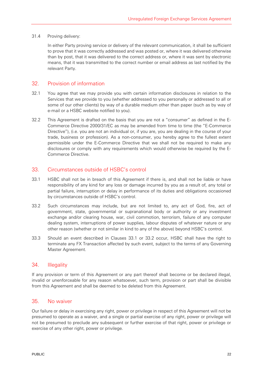#### 31.4 Proving delivery:

In either Party proving service or delivery of the relevant communication, it shall be sufficient to prove that it was correctly addressed and was posted or, where it was delivered otherwise than by post, that it was delivered to the correct address or, where it was sent by electronic means, that it was transmitted to the correct number or email address as last notified by the relevant Party.

#### 32. Provision of information

- 32.1 You agree that we may provide you with certain information disclosures in relation to the Services that we provide to you (whether addressed to you personally or addressed to all or some of our other clients) by way of a durable medium other than paper (such as by way of e-mail or a HSBC website notified to you).
- 32.2 This Agreement is drafted on the basis that you are not a "consumer" as defined in the E-Commerce Directive 2000/31/EC as may be amended from time to time (the "E-Commerce Directive"), (i.e. you are not an individual or, if you are, you are dealing in the course of your trade, business or profession). As a non-consumer, you hereby agree to the fullest extent permissible under the E-Commerce Directive that we shall not be required to make any disclosures or comply with any requirements which would otherwise be required by the E-Commerce Directive.

#### 33. Circumstances outside of HSBC's control

- 33.1 HSBC shall not be in breach of this Agreement if there is, and shall not be liable or have responsibility of any kind for any loss or damage incurred by you as a result of, any total or partial failure, interruption or delay in performance of its duties and obligations occasioned by circumstances outside of HSBC's control.
- 33.2 Such circumstances may include, but are not limited to, any act of God, fire, act of government, state, governmental or supranational body or authority or any investment exchange and/or clearing house, war, civil commotion, terrorism, failure of any computer dealing system, interruptions of power supplies, labour disputes of whatever nature or any other reason (whether or not similar in kind to any of the above) beyond HSBC's control.
- 33.3 Should an event described in Clauses 33.1 or 33.2 occur, HSBC shall have the right to terminate any FX Transaction affected by such event, subject to the terms of any Governing Master Agreement.

#### 34. Illegality

If any provision or term of this Agreement or any part thereof shall become or be declared illegal, invalid or unenforceable for any reason whatsoever, such term, provision or part shall be divisible from this Agreement and shall be deemed to be deleted from this Agreement.

#### 35. No waiver

Our failure or delay in exercising any right, power or privilege in respect of this Agreement will not be presumed to operate as a waiver, and a single or partial exercise of any right, power or privilege will not be presumed to preclude any subsequent or further exercise of that right, power or privilege or exercise of any other right, power or privilege.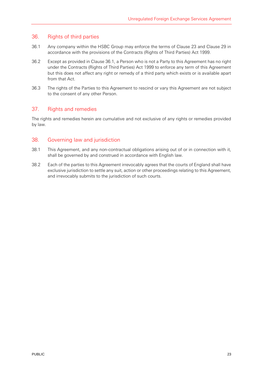#### 36. Rights of third parties

- 36.1 Any company within the HSBC Group may enforce the terms of Clause 23 and Clause 29 in accordance with the provisions of the Contracts (Rights of Third Parties) Act 1999.
- 36.2 Except as provided in Clause 36.1, a Person who is not a Party to this Agreement has no right under the Contracts (Rights of Third Parties) Act 1999 to enforce any term of this Agreement but this does not affect any right or remedy of a third party which exists or is available apart from that Act.
- 36.3 The rights of the Parties to this Agreement to rescind or vary this Agreement are not subject to the consent of any other Person.

#### 37. Rights and remedies

The rights and remedies herein are cumulative and not exclusive of any rights or remedies provided by law.

#### 38. Governing law and jurisdiction

- 38.1 This Agreement, and any non-contractual obligations arising out of or in connection with it, shall be governed by and construed in accordance with English law.
- 38.2 Each of the parties to this Agreement irrevocably agrees that the courts of England shall have exclusive jurisdiction to settle any suit, action or other proceedings relating to this Agreement, and irrevocably submits to the jurisdiction of such courts.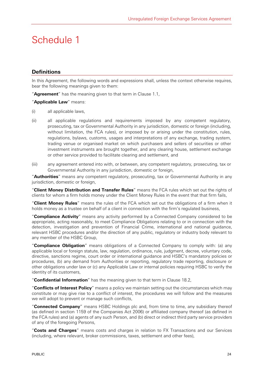# Schedule 1

# **Definitions**

In this Agreement, the following words and expressions shall, unless the context otherwise requires, bear the following meanings given to them:

"**Agreement**" has the meaning given to that term in Clause 1.1,

"**Applicable Law**" means:

- (i) all applicable laws,
- (ii) all applicable regulations and requirements imposed by any competent regulatory, prosecuting, tax or Governmental Authority in any jurisdiction, domestic or foreign (including, without limitation, the FCA rules), or imposed by or arising under the constitution, rules, regulations, bylaws, customs, usages and interpretations of any exchange, trading system, trading venue or organised market on which purchasers and sellers of securities or other investment instruments are brought together, and any clearing house, settlement exchange or other service provided to facilitate clearing and settlement, and
- (iii) any agreement entered into with, or between, any competent regulatory, prosecuting, tax or Governmental Authority in any jurisdiction, domestic or foreign,

"**Authorities**" means any competent regulatory, prosecuting, tax or Governmental Authority in any jurisdiction, domestic or foreign,

"**Client Money Distribution and Transfer Rules**" means the FCA rules which set out the rights of clients for whom a firm holds money under the Client Money Rules in the event that that firm fails,

"**Client Money Rules**" means the rules of the FCA which set out the obligations of a firm when it holds money as a trustee on behalf of a client in connection with the firm's regulated business,

"**Compliance Activity**" means any activity performed by a Connected Company considered to be appropriate, acting reasonably, to meet Compliance Obligations relating to or in connection with the detection, investigation and prevention of Financial Crime, international and national guidance, relevant HSBC procedures and/or the direction of any public, regulatory or industry body relevant to any member of the HSBC Group,

"**Compliance Obligation**" means obligations of a Connected Company to comply with: (a) any applicable local or foreign statute, law, regulation, ordinance, rule, judgment, decree, voluntary code, directive, sanctions regime, court order or international guidance and HSBC's mandatory policies or procedures, (b) any demand from Authorities or reporting, regulatory trade reporting, disclosure or other obligations under law or (c) any Applicable Law or internal policies requiring HSBC to verify the identity of its customers,

"**Confidential Information**" has the meaning given to that term in Clause 18.2,

"**Conflicts of Interest Policy**" means a policy we maintain setting out the circumstances which may constitute or may give rise to a conflict of interest, the procedures we will follow and the measures we will adopt to prevent or manage such conflicts,

"**Connected Company**" means HSBC Holdings plc and, from time to time, any subsidiary thereof (as defined in section 1159 of the Companies Act 2006) or affiliated company thereof (as defined in the FCA rules) and (a) agents of any such Person, and (b) direct or indirect third party service providers of any of the foregoing Persons,

"**Costs and Charges**" means costs and charges in relation to FX Transactions and our Services (including, where relevant, broker commissions, taxes, settlement and other fees),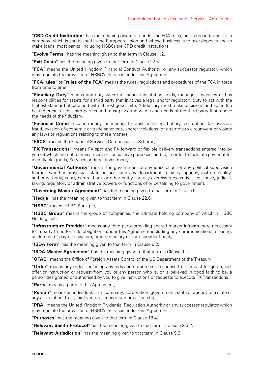"**CRD Credit Institution**" has the meaning given to it under the FCA rules, but in broad terms it is a company which is established in the European Union and whose business is to take deposits and to make loans, most banks (including HSBC) are CRD credit institutions,

"**Evolve Terms**" has the meaning given to that term in Clause 1.2,

"**Exit Costs**" has the meaning given to that term in Clause 22.6,

"**FCA**" means the United Kingdom Financial Conduct Authority, or any successor regulator, which may regulate the provision of HSBC's Services under this Agreement,

"**FCA rules**" or "**rules of the FCA**" means the rules, regulations and procedures of the FCA in force from time to time,

"**Fiduciary Duty**" means any duty where a financial institution holds, manages, oversees or has responsibilities for assets for a third party that involves a legal and/or regulatory duty to act with the highest standard of care and with utmost good faith. A fiduciary must make decisions and act in the best interests of the third parties and must place the wants and needs of the third party first, above the needs of the fiduciary,

"**Financial Crime**" means money laundering, terrorist financing, bribery, corruption, tax evasion, fraud, evasion of economic or trade sanctions, and/or violations, or attempts to circumvent or violate any laws or regulations relating to these matters,

"**FSCS**" means the Financial Services Compensation Scheme,

"**FX Transactions**" means FX spot and FX forward or flexible delivery transactions entered into by you (a) which are not for investment or speculative purposes, and (b) in order to facilitate payment for identifiable goods, Services or direct investment,

"**Governmental Authority**" means the government of any jurisdiction, or any political subdivision thereof, whether provincial, state or local, and any department, ministry, agency, instrumentality, authority, body, court, central bank or other entity lawfully exercising executive, legislative, judicial, taxing, regulatory or administrative powers or functions of or pertaining to government,

"**Governing Master Agreement**" has the meaning given to that term in Clause 9,

"**Hedge**" has the meaning given to that term in Clause 22.6,

"**HSBC**" means HSBC Bank plc,

"**HSBC Group**" means the group of companies, the ultimate holding company of which is HSBC Holdings plc,

"**Infrastructure Provider**" means any third party providing shared market infrastructure necessary for a party to perform its obligations under this Agreement including any communications, clearing, settlement or payment system, or intermediary or correspondent bank,

"**ISDA Form**" has the meaning given to that term in Clause 9.2,

"**ISDA Master Agreement**" has the meaning given to that term in Clause 9.2,

"**OFAC**" means the Office of Foreign Assets Control of the US Department of the Treasury,

"**Order**" means any order, including any indication of interest, response to a request for quote, bid, offer or instruction or request from you or any person who is, or is believed in good faith to be, a person designated or authorised by you to give instructions or requests to execute FX Transactions.

"**Party**" means a party to this Agreement,

"**Person**" means an individual, firm, company, corporation, government, state or agency of a state or any association, trust, joint venture, consortium or partnership,

"**PRA**" means the United Kingdom Prudential Regulation Authority or any successor regulator which may regulate the provision of HSBC's Services under this Agreement,

"**Purposes**" has the meaning given to that term in Clause 18.4,

"**Relevant Bail-In Protocol**" has the meaning given to that term in Clause 9.3.2,

"**Relevant Jurisdiction**" has the meaning given to that term in Clause 9.3,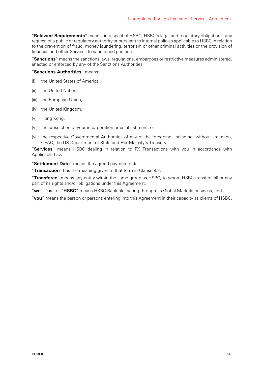"**Relevant Requirements**" means, in respect of HSBC, HSBC's legal and regulatory obligations, any request of a public or regulatory authority or pursuant to internal policies applicable to HSBC in relation to the prevention of fraud, money laundering, terrorism or other criminal activities or the provision of financial and other Services to sanctioned persons,

"**Sanctions**" means the sanctions laws, regulations, embargoes or restrictive measures administered, enacted or enforced by any of the Sanctions Authorities,

#### "**Sanctions Authorities**" means:

- (i) the United States of America,
- (ii) the United Nations,
- (iii) the European Union,
- (iv) the United Kingdom,
- (v) Hong Kong,
- (vi) the jurisdiction of your incorporation or establishment, or
- (vii) the respective Governmental Authorities of any of the foregoing, including, without limitation, OFAC, the US Department of State and Her Majesty's Treasury,

"**Services**" means HSBC dealing in relation to FX Transactions with you in accordance with Applicable Law.

"**Settlement Date**" means the agreed payment date,

"**Transaction**" has the meaning given to that term in Clause 9.2,

"**Transferee**" means any entity within the same group as HSBC, to whom HSBC transfers all or any part of its rights and/or obligations under this Agreement,

"**we**", "**us**" or "**HSBC**" means HSBC Bank plc, acting through its Global Markets business, and

"**you**" means the person or persons entering into this Agreement in their capacity as clients of HSBC.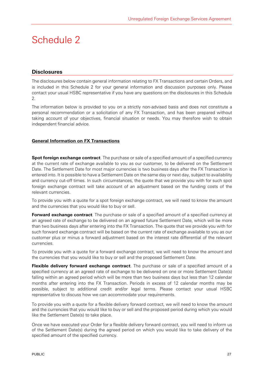# Schedule 2

### **Disclosures**

The disclosures below contain general information relating to FX Transactions and certain Orders, and is included in this Schedule 2 for your general information and discussion purposes only. Please contact your usual HSBC representative if you have any questions on the disclosures in this Schedule 2.

The information below is provided to you on a strictly non-advised basis and does not constitute a personal recommendation or a solicitation of any FX Transaction, and has been prepared without taking account of your objectives, financial situation or needs. You may therefore wish to obtain independent financial advice.

#### **General Information on FX Transactions**

**Spot foreign exchange contract**. The purchase or sale of a specified amount of a specified currency at the current rate of exchange available to you as our customer, to be delivered on the Settlement Date. The Settlement Date for most major currencies is two business days after the FX Transaction is entered into. It is possible to have a Settlement Date on the same day or next day, subject to availability and currency cut-off times. In such circumstances, the quote that we provide you with for such spot foreign exchange contract will take account of an adjustment based on the funding costs of the relevant currencies.

To provide you with a quote for a spot foreign exchange contract, we will need to know the amount and the currencies that you would like to buy or sell.

**Forward exchange contract**. The purchase or sale of a specified amount of a specified currency at an agreed rate of exchange to be delivered on an agreed future Settlement Date, which will be more than two business days after entering into the FX Transaction. The quote that we provide you with for such forward exchange contract will be based on the current rate of exchange available to you as our customer plus or minus a forward adjustment based on the interest rate differential of the relevant currencies.

To provide you with a quote for a forward exchange contract, we will need to know the amount and the currencies that you would like to buy or sell and the proposed Settlement Date.

**Flexible delivery forward exchange contract**. The purchase or sale of a specified amount of a specified currency at an agreed rate of exchange to be delivered on one or more Settlement Date(s) falling within an agreed period which will be more than two business days but less than 12 calendar months after entering into the FX Transaction. Periods in excess of 12 calendar months may be possible, subject to additional credit and/or legal terms. Please contact your usual HSBC representative to discuss how we can accommodate your requirements.

To provide you with a quote for a flexible delivery forward contract, we will need to know the amount and the currencies that you would like to buy or sell and the proposed period during which you would like the Settlement Date(s) to take place.

Once we have executed your Order for a flexible delivery forward contract, you will need to inform us of the Settlement Date(s) during the agreed period on which you would like to take delivery of the specified amount of the specified currency.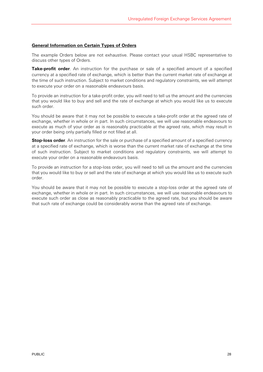#### **General Information on Certain Types of Orders**

The example Orders below are not exhaustive. Please contact your usual HSBC representative to discuss other types of Orders.

**Take-profit order**. An instruction for the purchase or sale of a specified amount of a specified currency at a specified rate of exchange, which is better than the current market rate of exchange at the time of such instruction. Subject to market conditions and regulatory constraints, we will attempt to execute your order on a reasonable endeavours basis.

To provide an instruction for a take-profit order, you will need to tell us the amount and the currencies that you would like to buy and sell and the rate of exchange at which you would like us to execute such order.

You should be aware that it may not be possible to execute a take-profit order at the agreed rate of exchange, whether in whole or in part. In such circumstances, we will use reasonable endeavours to execute as much of your order as is reasonably practicable at the agreed rate, which may result in your order being only partially filled or not filled at all.

**Stop-loss order**. An instruction for the sale or purchase of a specified amount of a specified currency at a specified rate of exchange, which is worse than the current market rate of exchange at the time of such instruction. Subject to market conditions and regulatory constraints, we will attempt to execute your order on a reasonable endeavours basis.

To provide an instruction for a stop-loss order, you will need to tell us the amount and the currencies that you would like to buy or sell and the rate of exchange at which you would like us to execute such order.

You should be aware that it may not be possible to execute a stop-loss order at the agreed rate of exchange, whether in whole or in part. In such circumstances, we will use reasonable endeavours to execute such order as close as reasonably practicable to the agreed rate, but you should be aware that such rate of exchange could be considerably worse than the agreed rate of exchange.